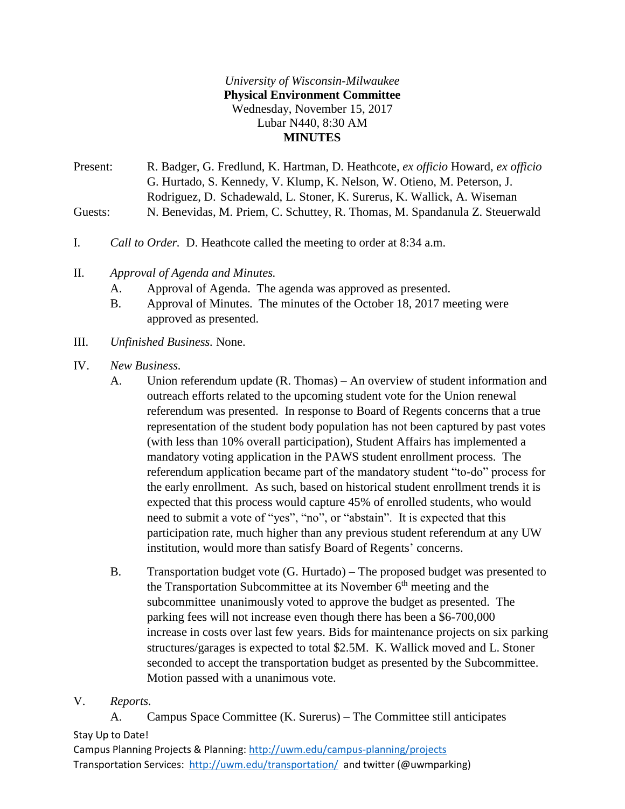## *University of Wisconsin-Milwaukee* **Physical Environment Committee** Wednesday, November 15, 2017 Lubar N440, 8:30 AM **MINUTES**

Present: R. Badger, G. Fredlund, K. Hartman, D. Heathcote, *ex officio* Howard, *ex officio*  G. Hurtado, S. Kennedy, V. Klump, K. Nelson, W. Otieno, M. Peterson, J. Rodriguez, D. Schadewald, L. Stoner, K. Surerus, K. Wallick, A. Wiseman Guests: N. Benevidas, M. Priem, C. Schuttey, R. Thomas, M. Spandanula Z. Steuerwald

- I. *Call to Order.* D. Heathcote called the meeting to order at 8:34 a.m.
- II. *Approval of Agenda and Minutes.*
	- A. Approval of Agenda. The agenda was approved as presented.
	- B. Approval of Minutes. The minutes of the October 18, 2017 meeting were approved as presented.
- III. *Unfinished Business.* None.
- IV. *New Business.*
	- A. Union referendum update (R. Thomas) An overview of student information and outreach efforts related to the upcoming student vote for the Union renewal referendum was presented. In response to Board of Regents concerns that a true representation of the student body population has not been captured by past votes (with less than 10% overall participation), Student Affairs has implemented a mandatory voting application in the PAWS student enrollment process. The referendum application became part of the mandatory student "to-do" process for the early enrollment. As such, based on historical student enrollment trends it is expected that this process would capture 45% of enrolled students, who would need to submit a vote of "yes", "no", or "abstain". It is expected that this participation rate, much higher than any previous student referendum at any UW institution, would more than satisfy Board of Regents' concerns.
	- B. Transportation budget vote (G. Hurtado) The proposed budget was presented to the Transportation Subcommittee at its November  $6<sup>th</sup>$  meeting and the subcommittee unanimously voted to approve the budget as presented. The parking fees will not increase even though there has been a \$6-700,000 increase in costs over last few years. Bids for maintenance projects on six parking structures/garages is expected to total \$2.5M. K. Wallick moved and L. Stoner seconded to accept the transportation budget as presented by the Subcommittee. Motion passed with a unanimous vote.
- V. *Reports.*

Stay Up to Date! A. Campus Space Committee (K. Surerus) – The Committee still anticipates

Campus Planning Projects & Planning:<http://uwm.edu/campus-planning/projects> Transportation Services: <http://uwm.edu/transportation/>and twitter (@uwmparking)